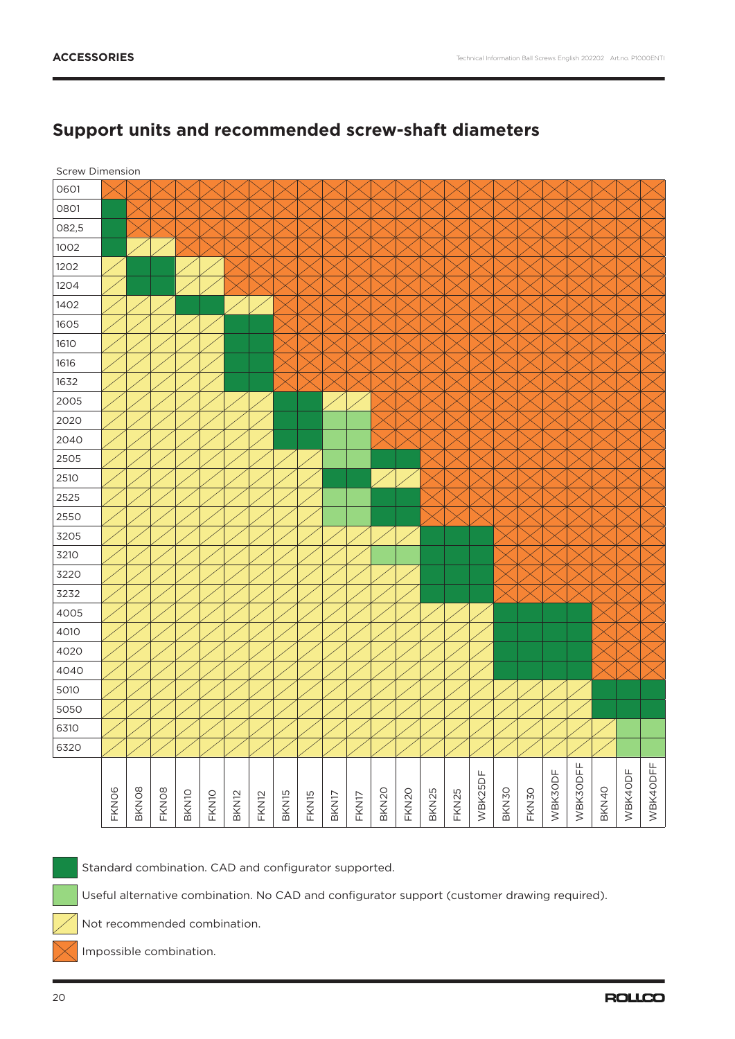Screw Dimension

## 0601 0801 082,5 1002 1202 1204 1402 1605 1610 1616 1632 2005 2020 2040 2505 2510 2525 2550 3205 3210 3220 3232 4005 4010 4020 4040 5010 5050 6310 6320 WBK40DFF WBK30DFF WBK30DFF WBK40DFF WBK30DF WBK4ODF WBK25DF WBK30DF WBK40DF WBK25DF BKN40 BKN08 FKN08 BKN30 FKN06 FKN10 BKN20 FKN20 BKN25 FKN25 FKN30 BKN10 BKN12 FKN12 BKN15 FKN15 FKN17 BKN17

## **Support units and recommended screw-shaft diameters**

Standard combination. CAD and configurator supported.





Not recommended combination.

Impossible combination.